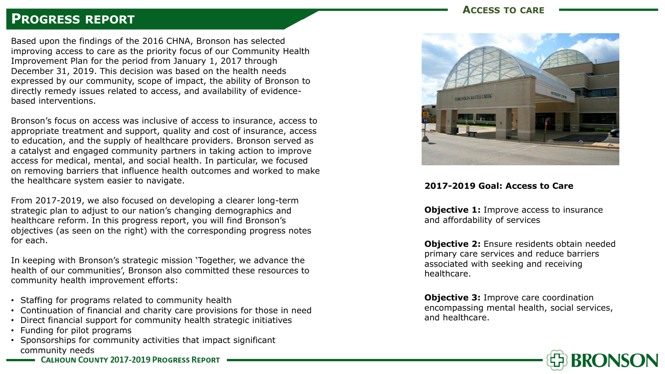# **PROGRESS REPORT**

Based upon the findings of the 2016 CHNA, Bronson has selected improving access to care as the priority focus of our Community Health Improvement Plan for the period from January 1, 2017 through December 31, 2019. This decision was based on the health needs expressed by our community, scope of impact, the ability of Bronson to directly remedy issues related to access, and availability of evidencebased interventions.

Bronson's focus on access was inclusive of access to insurance, access to appropriate treatment and support, quality and cost of insurance, access to education, and the supply of healthcare providers. Bronson served as a catalyst and engaged community partners in taking action to improve access for medical, mental, and social health. In particular, we focused on removing barriers that influence health outcomes and worked to make the healthcare system easier to navigate.

From 2017-2019, we also focused on developing a clearer long-term strategic plan to adjust to our nation's changing demographics and healthcare reform. In this progress report, you will find Bronson's objectives (as seen on the right) with the corresponding progress notes for each.

In keeping with Bronson's strategic mission 'Together, we advance the health of our communities', Bronson also committed these resources to community health improvement efforts:

- Staffing for programs related to community health
- Continuation of financial and charity care provisions for those in need
- Direct financial support for community health strategic initiatives
- Funding for pilot programs
- Sponsorships for community activities that impact significant community needs
	- **CALHOUN COUNTY 2017-2019 PROGRESS REPORT**

## **ACCESS TO CARE**



#### **2017-2019 Goal: Access to Care**

**Objective 1:** Improve access to insurance and affordability of services

**Objective 2:** Ensure residents obtain needed primary care services and reduce barriers associated with seeking and receiving healthcare.

**Objective 3: Improve care coordination** encompassing mental health, social services, and healthcare.

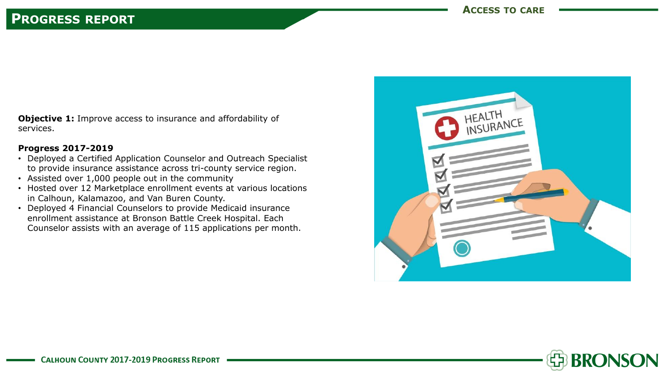**Objective 1:** Improve access to insurance and affordability of services.

#### **Progress 2017-2019**

- Deployed a Certified Application Counselor and Outreach Specialist to provide insurance assistance across tri-county service region.
- Assisted over 1,000 people out in the community
- Hosted over 12 Marketplace enrollment events at various locations in Calhoun, Kalamazoo, and Van Buren County.
- Deployed 4 Financial Counselors to provide Medicaid insurance enrollment assistance at Bronson Battle Creek Hospital. Each Counselor assists with an average of 115 applications per month.



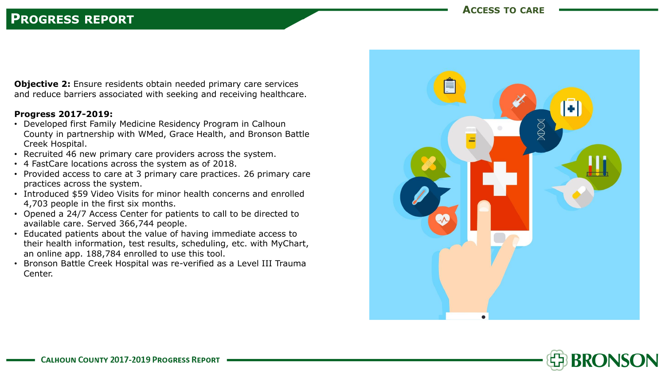## **PROGRESS REPORT**

**Objective 2:** Ensure residents obtain needed primary care services and reduce barriers associated with seeking and receiving healthcare.

#### **Progress 2017-2019:**

- Developed first Family Medicine Residency Program in Calhoun County in partnership with WMed, Grace Health, and Bronson Battle Creek Hospital.
- Recruited 46 new primary care providers across the system.
- 4 FastCare locations across the system as of 2018.
- Provided access to care at 3 primary care practices. 26 primary care practices across the system.
- Introduced \$59 Video Visits for minor health concerns and enrolled 4,703 people in the first six months.
- Opened a 24/7 Access Center for patients to call to be directed to available care. Served 366,744 people.
- Educated patients about the value of having immediate access to their health information, test results, scheduling, etc. with MyChart, an online app. 188,784 enrolled to use this tool.
- Bronson Battle Creek Hospital was re-verified as a Level III Trauma Center.